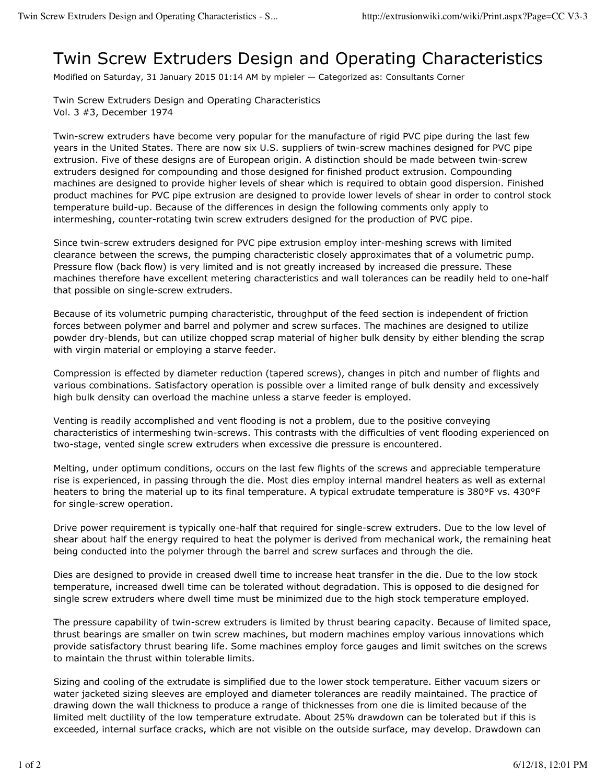## Twin Screw Extruders Design and Operating Characteristics

Modified on Saturday, 31 January 2015 01:14 AM by mpieler — Categorized as: Consultants Corner

Twin Screw Extruders Design and Operating Characteristics Vol. 3 #3, December 1974

Twin-screw extruders have become very popular for the manufacture of rigid PVC pipe during the last few years in the United States. There are now six U.S. suppliers of twin-screw machines designed for PVC pipe extrusion. Five of these designs are of European origin. A distinction should be made between twin-screw extruders designed for compounding and those designed for finished product extrusion. Compounding machines are designed to provide higher levels of shear which is required to obtain good dispersion. Finished product machines for PVC pipe extrusion are designed to provide lower levels of shear in order to control stock temperature build-up. Because of the differences in design the following comments only apply to intermeshing, counter-rotating twin screw extruders designed for the production of PVC pipe.

Since twin-screw extruders designed for PVC pipe extrusion employ inter-meshing screws with limited clearance between the screws, the pumping characteristic closely approximates that of a volumetric pump. Pressure flow (back flow) is very limited and is not greatly increased by increased die pressure. These machines therefore have excellent metering characteristics and wall tolerances can be readily held to one-half that possible on single-screw extruders.

Because of its volumetric pumping characteristic, throughput of the feed section is independent of friction forces between polymer and barrel and polymer and screw surfaces. The machines are designed to utilize powder dry-blends, but can utilize chopped scrap material of higher bulk density by either blending the scrap with virgin material or employing a starve feeder.

Compression is effected by diameter reduction (tapered screws), changes in pitch and number of flights and various combinations. Satisfactory operation is possible over a limited range of bulk density and excessively high bulk density can overload the machine unless a starve feeder is employed.

Venting is readily accomplished and vent flooding is not a problem, due to the positive conveying characteristics of intermeshing twin-screws. This contrasts with the difficulties of vent flooding experienced on two-stage, vented single screw extruders when excessive die pressure is encountered.

Melting, under optimum conditions, occurs on the last few flights of the screws and appreciable temperature rise is experienced, in passing through the die. Most dies employ internal mandrel heaters as well as external heaters to bring the material up to its final temperature. A typical extrudate temperature is 380°F vs. 430°F for single-screw operation.

Drive power requirement is typically one-half that required for single-screw extruders. Due to the low level of shear about half the energy required to heat the polymer is derived from mechanical work, the remaining heat being conducted into the polymer through the barrel and screw surfaces and through the die.

Dies are designed to provide in creased dwell time to increase heat transfer in the die. Due to the low stock temperature, increased dwell time can be tolerated without degradation. This is opposed to die designed for single screw extruders where dwell time must be minimized due to the high stock temperature employed.

The pressure capability of twin-screw extruders is limited by thrust bearing capacity. Because of limited space, thrust bearings are smaller on twin screw machines, but modern machines employ various innovations which provide satisfactory thrust bearing life. Some machines employ force gauges and limit switches on the screws to maintain the thrust within tolerable limits.

Sizing and cooling of the extrudate is simplified due to the lower stock temperature. Either vacuum sizers or water jacketed sizing sleeves are employed and diameter tolerances are readily maintained. The practice of drawing down the wall thickness to produce a range of thicknesses from one die is limited because of the limited melt ductility of the low temperature extrudate. About 25% drawdown can be tolerated but if this is exceeded, internal surface cracks, which are not visible on the outside surface, may develop. Drawdown can